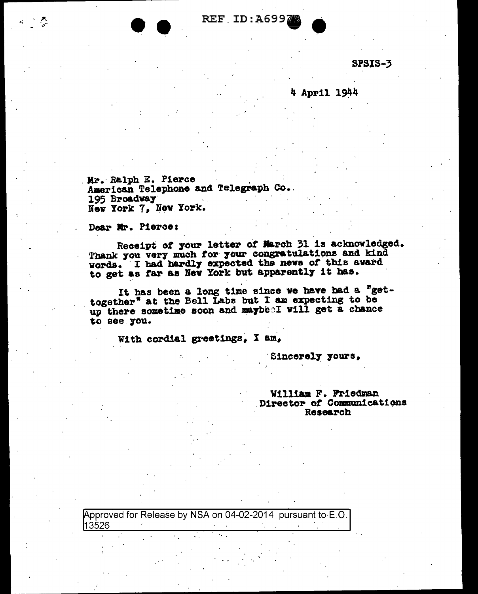REF ID:A6997

SPSIS-3

4 April 1944

Mr. Ralph E. Pierce American Telephone and Telegraph Co. 195 Broadway New York 7, New York.

Dear Mr. Pierce:

Receipt of your letter of March 31 is acknowledged. Thank you very much for your congratulations and kind words. I had hardly expected the news of this award to get as far as New York but apparently it has.

It has been a long time since we have had a "gettogether" at the Bell Labs but I am expecting to be up there sometime soon and maybe I will get a chance to see you.

With cordial greetings, I am,

Sincerely yours,

William F. Friedman Director of Communications Research

Approved for Release by NSA on 04-02-2014 pursuant to E.O. 13526